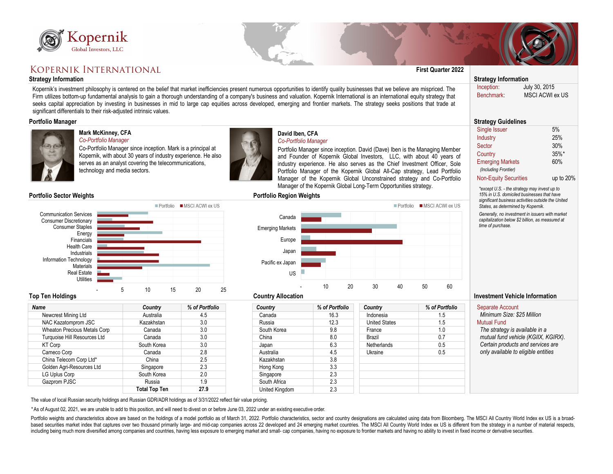

# **KOPERNIK INTERNATIONAL**

### **Strategy Information Strategy Information**



### Portfolio MSCI ACWI ex US Communication Services Consumer Discretionary Consumer Staples Energy Financials Health Care Industrials Information Technology **Materials** Real Estate **Utilities** - 5 10 15 20 25

| Kopernik<br>Global Investors, LLC                                                                                                                                                                                                                                                                                                                                                                                                                                                                                                                                                                                                      |                                                                                                                                                                                        |                                    |                                                                                                                    |                |                                                                                                                                                                                                                                                                                                                                                                                                                                                              |                               |                                                                                                                                                                                                                                 |                                                     |
|----------------------------------------------------------------------------------------------------------------------------------------------------------------------------------------------------------------------------------------------------------------------------------------------------------------------------------------------------------------------------------------------------------------------------------------------------------------------------------------------------------------------------------------------------------------------------------------------------------------------------------------|----------------------------------------------------------------------------------------------------------------------------------------------------------------------------------------|------------------------------------|--------------------------------------------------------------------------------------------------------------------|----------------|--------------------------------------------------------------------------------------------------------------------------------------------------------------------------------------------------------------------------------------------------------------------------------------------------------------------------------------------------------------------------------------------------------------------------------------------------------------|-------------------------------|---------------------------------------------------------------------------------------------------------------------------------------------------------------------------------------------------------------------------------|-----------------------------------------------------|
| KOPERNIK INTERNATIONAL                                                                                                                                                                                                                                                                                                                                                                                                                                                                                                                                                                                                                 |                                                                                                                                                                                        |                                    |                                                                                                                    |                |                                                                                                                                                                                                                                                                                                                                                                                                                                                              | <b>First Quarter 2022</b>     |                                                                                                                                                                                                                                 |                                                     |
| <b>Strategy Information</b>                                                                                                                                                                                                                                                                                                                                                                                                                                                                                                                                                                                                            |                                                                                                                                                                                        |                                    |                                                                                                                    |                |                                                                                                                                                                                                                                                                                                                                                                                                                                                              |                               | <b>Strategy Information</b>                                                                                                                                                                                                     |                                                     |
| Kopernik's investment philosophy is centered on the belief that market inefficiencies present numerous opportunities to identify quality businesses that we believe are mispriced. The<br>Firm utilizes bottom-up fundamental analysis to gain a thorough understanding of a company's business and valuation. Kopernik International is an international equity strategy that<br>seeks capital appreciation by investing in businesses in mid to large cap equities across developed, emerging and frontier markets. The strategy seeks positions that trade at<br>significant differentials to their risk-adjusted intrinsic values. |                                                                                                                                                                                        |                                    |                                                                                                                    |                |                                                                                                                                                                                                                                                                                                                                                                                                                                                              |                               | Inception:<br><b>Benchmark</b>                                                                                                                                                                                                  | July 30, 2015<br><b>MSCI ACWI ex US</b>             |
| <b>Portfolio Manager</b>                                                                                                                                                                                                                                                                                                                                                                                                                                                                                                                                                                                                               |                                                                                                                                                                                        |                                    |                                                                                                                    |                |                                                                                                                                                                                                                                                                                                                                                                                                                                                              |                               | <b>Strategy Guidelines</b>                                                                                                                                                                                                      |                                                     |
| <b>Mark McKinney, CFA</b><br>Co-Portfolio Manager<br>technology and media sectors.                                                                                                                                                                                                                                                                                                                                                                                                                                                                                                                                                     | Co-Portfolio Manager since inception. Mark is a principal at<br>Kopernik, with about 30 years of industry experience. He also<br>serves as an analyst covering the telecommunications, |                                    | David Iben, CFA<br>Co-Portfolio Manager                                                                            |                | Portfolio Manager since inception. David (Dave) Iben is the Managing Member<br>and Founder of Kopernik Global Investors, LLC, with about 40 years of<br>industry experience. He also serves as the Chief Investment Officer, Sole<br>Portfolio Manager of the Kopernik Global All-Cap strategy, Lead Portfolio<br>Manager of the Kopernik Global Unconstrained strategy and Co-Portfolio<br>Manager of the Kopernik Global Long-Term Opportunities strategy. |                               | Single Issuer<br>Industry<br>Sector<br>Country<br><b>Emerging Markets</b><br>(Including Frontier)<br><b>Non-Equity Securities</b><br>*except U.S. - the strategy may invest up to<br>15% in U.S. domiciled businesses that have | 5%<br>25%<br>30%<br>$35\%$ *<br>60%<br>up to $20\%$ |
| <b>Portfolio Sector Weights</b>                                                                                                                                                                                                                                                                                                                                                                                                                                                                                                                                                                                                        |                                                                                                                                                                                        |                                    | <b>Portfolio Region Weights</b>                                                                                    |                |                                                                                                                                                                                                                                                                                                                                                                                                                                                              |                               |                                                                                                                                                                                                                                 | significant business activities outside the United  |
| <b>Communication Services</b><br><b>Consumer Discretionary</b><br><b>Consumer Staples</b><br>Energy<br>Financials<br><b>Health Care</b><br>Industrials<br><b>Information Technology</b><br><b>Materials</b><br><b>Real Estate</b><br><b>Utilities</b><br>5<br><b>Top Ten Holdings</b>                                                                                                                                                                                                                                                                                                                                                  | $\blacksquare$ Portfolio<br>10<br>15                                                                                                                                                   | <b>MSCI ACWI ex US</b><br>25<br>20 | Canada<br><b>Emerging Markets</b><br>Europe<br>Japan<br>Pacific ex Japan<br><b>US</b><br><b>Country Allocation</b> | 10<br>20       | $\blacksquare$ Portfolio<br>40<br>30                                                                                                                                                                                                                                                                                                                                                                                                                         | ■ MSCI ACWI ex US<br>50<br>60 | States, as determined by Kopernik.<br>Generally, no investment in issuers with market<br>capitalization below \$2 billion, as measured at<br>time of purchase.<br><b>Investment Vehicle Information</b>                         |                                                     |
| <b>Name</b>                                                                                                                                                                                                                                                                                                                                                                                                                                                                                                                                                                                                                            | <b>Country</b>                                                                                                                                                                         | % of Portfolio                     | <b>Country</b>                                                                                                     | % of Portfolio | <b>Country</b>                                                                                                                                                                                                                                                                                                                                                                                                                                               | % of Portfolio                | <b>Separate Account</b>                                                                                                                                                                                                         |                                                     |
| Newcrest Mining Ltd                                                                                                                                                                                                                                                                                                                                                                                                                                                                                                                                                                                                                    | Australia                                                                                                                                                                              | 4.5                                | Canada                                                                                                             | 16.3           | Indonesia                                                                                                                                                                                                                                                                                                                                                                                                                                                    | 1.5                           | Minimum Size: \$25 Million                                                                                                                                                                                                      |                                                     |
| NAC Kazatomprom JSC                                                                                                                                                                                                                                                                                                                                                                                                                                                                                                                                                                                                                    | Kazakhstan                                                                                                                                                                             | 3.0                                | Russia                                                                                                             | 12.3           | <b>United States</b>                                                                                                                                                                                                                                                                                                                                                                                                                                         | 1.5                           | <b>Mutual Fund</b>                                                                                                                                                                                                              |                                                     |
| <b>Wheaton Precious Metals Corp</b>                                                                                                                                                                                                                                                                                                                                                                                                                                                                                                                                                                                                    | Canada                                                                                                                                                                                 | 3.0                                | South Korea                                                                                                        | 9.8            | France                                                                                                                                                                                                                                                                                                                                                                                                                                                       | 1.0                           | The strategy is available in a                                                                                                                                                                                                  |                                                     |
| <b>Turquoise Hill Resources Ltd</b>                                                                                                                                                                                                                                                                                                                                                                                                                                                                                                                                                                                                    | Canada                                                                                                                                                                                 | 3.0                                | China                                                                                                              | 8.0            | <b>Brazil</b>                                                                                                                                                                                                                                                                                                                                                                                                                                                | 0.7                           | mutual fund vehicle (KGIIX, KGIRX).<br>Certain products and services are                                                                                                                                                        |                                                     |
| KT Corp                                                                                                                                                                                                                                                                                                                                                                                                                                                                                                                                                                                                                                | South Korea                                                                                                                                                                            | 3.0<br>2.8                         | Japan                                                                                                              | 6.3<br>4.5     | <b>Netherlands</b>                                                                                                                                                                                                                                                                                                                                                                                                                                           | 0.5<br>0.5                    | only available to eligible entities                                                                                                                                                                                             |                                                     |
| Cameco Corp<br>China Telecom Corp Ltd*                                                                                                                                                                                                                                                                                                                                                                                                                                                                                                                                                                                                 | Canada<br>China                                                                                                                                                                        | 2.5                                | Australia<br>Kazakhstan                                                                                            | 3.8            | Ukraine                                                                                                                                                                                                                                                                                                                                                                                                                                                      |                               |                                                                                                                                                                                                                                 |                                                     |
| Golden Agri-Resources Ltd                                                                                                                                                                                                                                                                                                                                                                                                                                                                                                                                                                                                              | Singapore                                                                                                                                                                              | 2.3                                | Hong Kong                                                                                                          | 3.3            |                                                                                                                                                                                                                                                                                                                                                                                                                                                              |                               |                                                                                                                                                                                                                                 |                                                     |
| LG Uplus Corp                                                                                                                                                                                                                                                                                                                                                                                                                                                                                                                                                                                                                          | South Korea                                                                                                                                                                            | 2.0                                | Singapore                                                                                                          | 2.3            |                                                                                                                                                                                                                                                                                                                                                                                                                                                              |                               |                                                                                                                                                                                                                                 |                                                     |
| Gazprom PJSC                                                                                                                                                                                                                                                                                                                                                                                                                                                                                                                                                                                                                           | Russia                                                                                                                                                                                 | 1.9                                | South Africa                                                                                                       | 2.3            |                                                                                                                                                                                                                                                                                                                                                                                                                                                              |                               |                                                                                                                                                                                                                                 |                                                     |
|                                                                                                                                                                                                                                                                                                                                                                                                                                                                                                                                                                                                                                        | <b>Total Top Ten</b>                                                                                                                                                                   | 27.9                               | United Kingdom                                                                                                     | 2.3            |                                                                                                                                                                                                                                                                                                                                                                                                                                                              |                               |                                                                                                                                                                                                                                 |                                                     |
|                                                                                                                                                                                                                                                                                                                                                                                                                                                                                                                                                                                                                                        |                                                                                                                                                                                        |                                    |                                                                                                                    |                |                                                                                                                                                                                                                                                                                                                                                                                                                                                              |                               |                                                                                                                                                                                                                                 |                                                     |



The value of local Russian security holdings and Russian GDR/ADR holdings as of 3/31/2022 reflect fair value pricing.

*\** As of August 02, 2021, we are unable to add to this position, and will need to divest on or before June 03, 2022 under an existing executive order.

Portfolio weights and characteristics above are based on the holdings of a model portfolio as of March 31, 2022. Portfolio characteristics, sector and country designations are calculated using data from Bloomberg. The MSCI based securities market index that captures over two thousand primarily large- and mid-cap companies across 22 developed and 24 emerging market countries. The MSCI All Country World Index ex US is different from the strate including being much more diversified among companies and countries, having less exposure to emerging market and small- cap companies, having no exposure to frontier markets and having no ability to invest in fixed income

## **Mark McKinney, CFA**

### *Co-Portfolio Manager*



### **Portfolio Sector Weights**